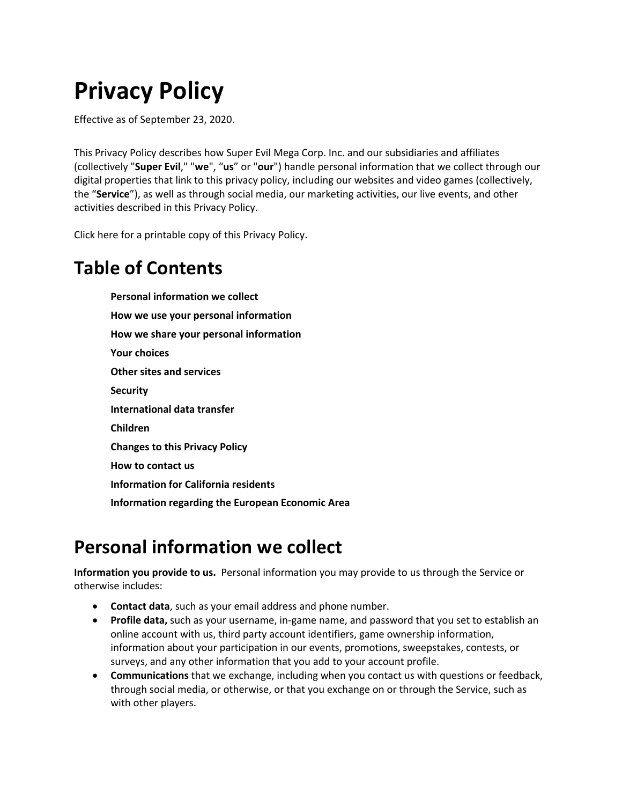# **Privacy Policy**

Effective as of September 23, 2020.

This Privacy Policy describes how Super Evil Mega Corp. Inc. and our subsidiaries and affiliates (collectively "**Super Evil**," "**we**", "**us**" or "**our**") handle personal information that we collect through our digital properties that link to this privacy policy, including our websites and video games (collectively, the "**Service**"), as well as through social media, our marketing activities, our live events, and other activities described in this Privacy Policy.

Click here for a printable copy of this Privacy Policy.

### **Table of Contents**

**Personal information we collect How we use your personal information How we share your personal information Your choices Other sites and services Security International data transfer Children Changes to this Privacy Policy How to contact us Information for California residents Information regarding the European Economic Area**

### **Personal information we collect**

**Information you provide to us.** Personal information you may provide to us through the Service or otherwise includes:

- **Contact data**, such as your email address and phone number.
- **Profile data,** such as your username, in-game name, and password that you set to establish an online account with us, third party account identifiers, game ownership information, information about your participation in our events, promotions, sweepstakes, contests, or surveys, and any other information that you add to your account profile.
- **Communications** that we exchange, including when you contact us with questions or feedback, through social media, or otherwise, or that you exchange on or through the Service, such as with other players.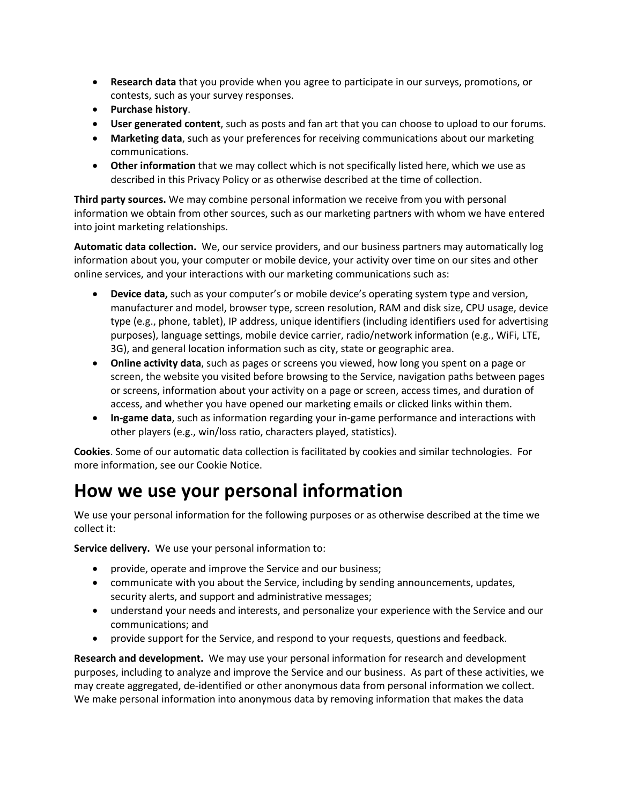- **Research data** that you provide when you agree to participate in our surveys, promotions, or contests, such as your survey responses.
- **Purchase history**.
- **User generated content**, such as posts and fan art that you can choose to upload to our forums.
- **Marketing data**, such as your preferences for receiving communications about our marketing communications.
- **Other information** that we may collect which is not specifically listed here, which we use as described in this Privacy Policy or as otherwise described at the time of collection.

**Third party sources.** We may combine personal information we receive from you with personal information we obtain from other sources, such as our marketing partners with whom we have entered into joint marketing relationships.

**Automatic data collection.** We, our service providers, and our business partners may automatically log information about you, your computer or mobile device, your activity over time on our sites and other online services, and your interactions with our marketing communications such as:

- **Device data,** such as your computer's or mobile device's operating system type and version, manufacturer and model, browser type, screen resolution, RAM and disk size, CPU usage, device type (e.g., phone, tablet), IP address, unique identifiers (including identifiers used for advertising purposes), language settings, mobile device carrier, radio/network information (e.g., WiFi, LTE, 3G), and general location information such as city, state or geographic area.
- **Online activity data**, such as pages or screens you viewed, how long you spent on a page or screen, the website you visited before browsing to the Service, navigation paths between pages or screens, information about your activity on a page or screen, access times, and duration of access, and whether you have opened our marketing emails or clicked links within them.
- **In-game data**, such as information regarding your in-game performance and interactions with other players (e.g., win/loss ratio, characters played, statistics).

**Cookies**. Some of our automatic data collection is facilitated by cookies and similar technologies. For more information, see our Cookie Notice.

### **How we use your personal information**

We use your personal information for the following purposes or as otherwise described at the time we collect it:

**Service delivery.** We use your personal information to:

- provide, operate and improve the Service and our business;
- communicate with you about the Service, including by sending announcements, updates, security alerts, and support and administrative messages;
- understand your needs and interests, and personalize your experience with the Service and our communications; and
- provide support for the Service, and respond to your requests, questions and feedback.

**Research and development.** We may use your personal information for research and development purposes, including to analyze and improve the Service and our business. As part of these activities, we may create aggregated, de-identified or other anonymous data from personal information we collect. We make personal information into anonymous data by removing information that makes the data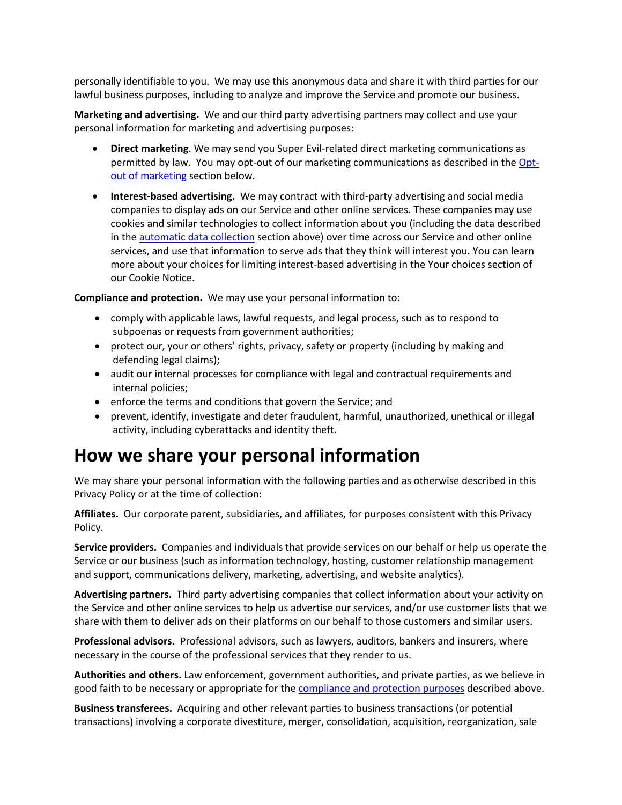personally identifiable to you. We may use this anonymous data and share it with third parties for our lawful business purposes, including to analyze and improve the Service and promote our business.

**Marketing and advertising.** We and our third party advertising partners may collect and use your personal information for marketing and advertising purposes:

- **Direct marketing**. We may send you Super Evil-related direct marketing communications as permitted by law. You may opt-out of our marketing communications as described in the Optout of marketing section below.
- **Interest-based advertising.** We may contract with third-party advertising and social media companies to display ads on our Service and other online services. These companies may use cookies and similar technologies to collect information about you (including the data described in the automatic data collection section above) over time across our Service and other online services, and use that information to serve ads that they think will interest you. You can learn more about your choices for limiting interest-based advertising in the Your choices section of our Cookie Notice.

**Compliance and protection.** We may use your personal information to:

- comply with applicable laws, lawful requests, and legal process, such as to respond to subpoenas or requests from government authorities;
- protect our, your or others' rights, privacy, safety or property (including by making and defending legal claims);
- audit our internal processes for compliance with legal and contractual requirements and internal policies;
- enforce the terms and conditions that govern the Service; and
- prevent, identify, investigate and deter fraudulent, harmful, unauthorized, unethical or illegal activity, including cyberattacks and identity theft.

### **How we share your personal information**

We may share your personal information with the following parties and as otherwise described in this Privacy Policy or at the time of collection:

**Affiliates.** Our corporate parent, subsidiaries, and affiliates, for purposes consistent with this Privacy Policy.

**Service providers.** Companies and individuals that provide services on our behalf or help us operate the Service or our business (such as information technology, hosting, customer relationship management and support, communications delivery, marketing, advertising, and website analytics).

**Advertising partners.** Third party advertising companies that collect information about your activity on the Service and other online services to help us advertise our services, and/or use customer lists that we share with them to deliver ads on their platforms on our behalf to those customers and similar users.

**Professional advisors.** Professional advisors, such as lawyers, auditors, bankers and insurers, where necessary in the course of the professional services that they render to us.

**Authorities and others.** Law enforcement, government authorities, and private parties, as we believe in good faith to be necessary or appropriate for the compliance and protection purposes described above.

**Business transferees.** Acquiring and other relevant parties to business transactions (or potential transactions) involving a corporate divestiture, merger, consolidation, acquisition, reorganization, sale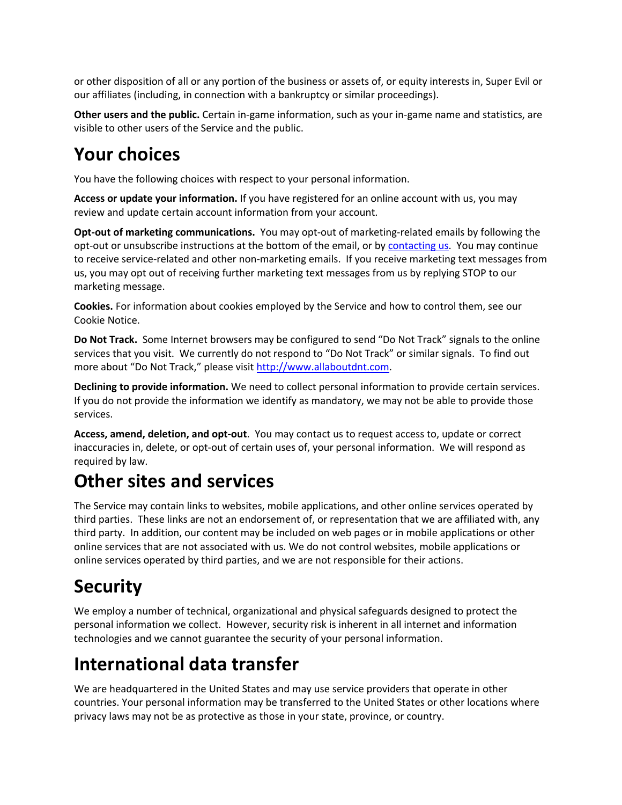or other disposition of all or any portion of the business or assets of, or equity interests in, Super Evil or our affiliates (including, in connection with a bankruptcy or similar proceedings).

**Other users and the public.** Certain in-game information, such as your in-game name and statistics, are visible to other users of the Service and the public.

### **Your choices**

You have the following choices with respect to your personal information.

**Access or update your information.** If you have registered for an online account with us, you may review and update certain account information from your account.

**Opt-out of marketing communications.** You may opt-out of marketing-related emails by following the opt-out or unsubscribe instructions at the bottom of the email, or by contacting us. You may continue to receive service-related and other non-marketing emails. If you receive marketing text messages from us, you may opt out of receiving further marketing text messages from us by replying STOP to our marketing message.

**Cookies.** For information about cookies employed by the Service and how to control them, see our Cookie Notice.

**Do Not Track.** Some Internet browsers may be configured to send "Do Not Track" signals to the online services that you visit. We currently do not respond to "Do Not Track" or similar signals. To find out more about "Do Not Track," please visit http://www.allaboutdnt.com.

**Declining to provide information.** We need to collect personal information to provide certain services. If you do not provide the information we identify as mandatory, we may not be able to provide those services.

**Access, amend, deletion, and opt-out**. You may contact us to request access to, update or correct inaccuracies in, delete, or opt-out of certain uses of, your personal information. We will respond as required by law.

# **Other sites and services**

The Service may contain links to websites, mobile applications, and other online services operated by third parties. These links are not an endorsement of, or representation that we are affiliated with, any third party. In addition, our content may be included on web pages or in mobile applications or other online services that are not associated with us. We do not control websites, mobile applications or online services operated by third parties, and we are not responsible for their actions.

# **Security**

We employ a number of technical, organizational and physical safeguards designed to protect the personal information we collect. However, security risk is inherent in all internet and information technologies and we cannot guarantee the security of your personal information.

# **International data transfer**

We are headquartered in the United States and may use service providers that operate in other countries. Your personal information may be transferred to the United States or other locations where privacy laws may not be as protective as those in your state, province, or country.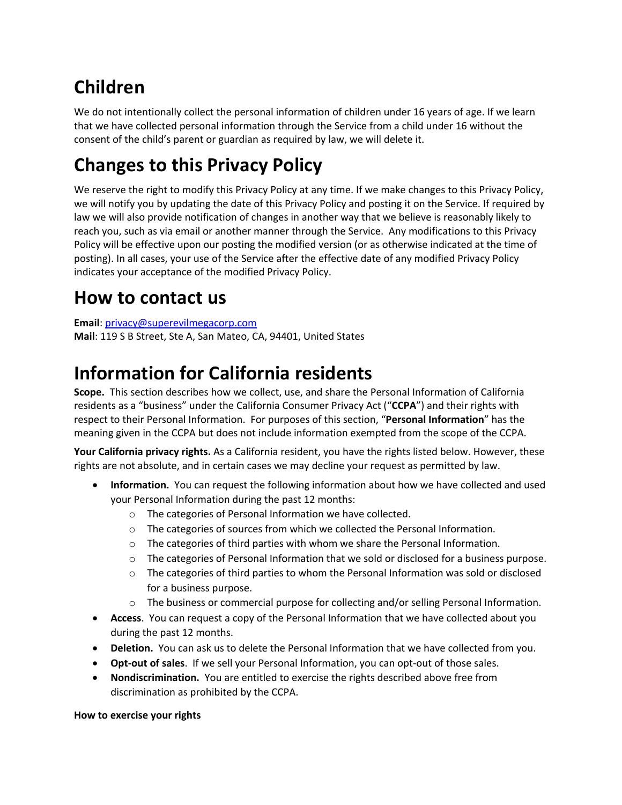# **Children**

We do not intentionally collect the personal information of children under 16 years of age. If we learn that we have collected personal information through the Service from a child under 16 without the consent of the child's parent or guardian as required by law, we will delete it.

# **Changes to this Privacy Policy**

We reserve the right to modify this Privacy Policy at any time. If we make changes to this Privacy Policy, we will notify you by updating the date of this Privacy Policy and posting it on the Service. If required by law we will also provide notification of changes in another way that we believe is reasonably likely to reach you, such as via email or another manner through the Service. Any modifications to this Privacy Policy will be effective upon our posting the modified version (or as otherwise indicated at the time of posting). In all cases, your use of the Service after the effective date of any modified Privacy Policy indicates your acceptance of the modified Privacy Policy.

## **How to contact us**

**Email**: privacy@superevilmegacorp.com **Mail**: 119 S B Street, Ste A, San Mateo, CA, 94401, United States

### **Information for California residents**

**Scope.** This section describes how we collect, use, and share the Personal Information of California residents as a "business" under the California Consumer Privacy Act ("**CCPA**") and their rights with respect to their Personal Information. For purposes of this section, "**Personal Information**" has the meaning given in the CCPA but does not include information exempted from the scope of the CCPA.

**Your California privacy rights.** As a California resident, you have the rights listed below. However, these rights are not absolute, and in certain cases we may decline your request as permitted by law.

- **Information.** You can request the following information about how we have collected and used your Personal Information during the past 12 months:
	- o The categories of Personal Information we have collected.
	- o The categories of sources from which we collected the Personal Information.
	- $\circ$  The categories of third parties with whom we share the Personal Information.
	- o The categories of Personal Information that we sold or disclosed for a business purpose.
	- $\circ$  The categories of third parties to whom the Personal Information was sold or disclosed for a business purpose.
	- o The business or commercial purpose for collecting and/or selling Personal Information.
- **Access**. You can request a copy of the Personal Information that we have collected about you during the past 12 months.
- **Deletion.** You can ask us to delete the Personal Information that we have collected from you.
- **Opt-out of sales**. If we sell your Personal Information, you can opt-out of those sales.
- **Nondiscrimination.** You are entitled to exercise the rights described above free from discrimination as prohibited by the CCPA.

**How to exercise your rights**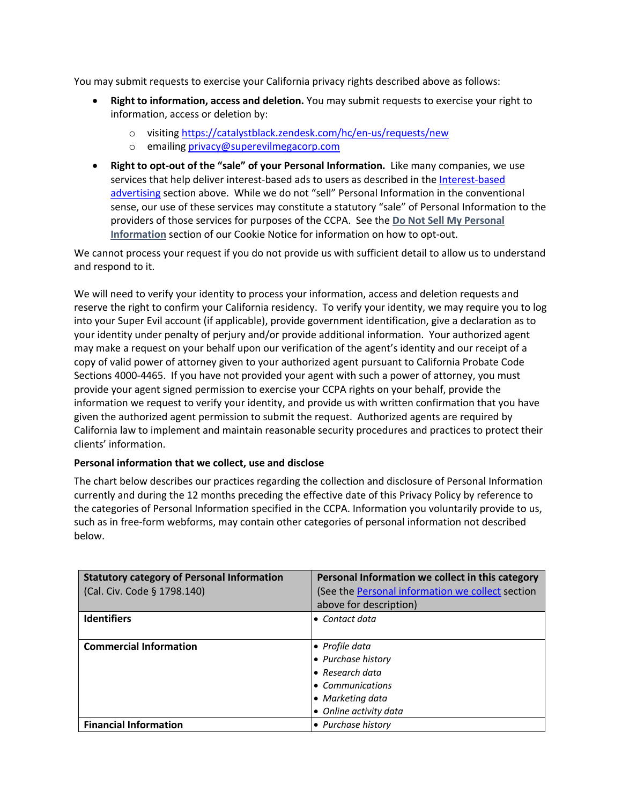You may submit requests to exercise your California privacy rights described above as follows:

- **Right to information, access and deletion.** You may submit requests to exercise your right to information, access or deletion by:
	- o visiting https://catalystblack.zendesk.com/hc/en-us/requests/new
	- o emailing privacy@superevilmegacorp.com
- **Right to opt-out of the "sale" of your Personal Information.** Like many companies, we use services that help deliver interest-based ads to users as described in the Interest-based advertising section above. While we do not "sell" Personal Information in the conventional sense, our use of these services may constitute a statutory "sale" of Personal Information to the providers of those services for purposes of the CCPA.See the **Do Not Sell My Personal Information** section of our Cookie Notice for information on how to opt-out.

We cannot process your request if you do not provide us with sufficient detail to allow us to understand and respond to it.

We will need to verify your identity to process your information, access and deletion requests and reserve the right to confirm your California residency. To verify your identity, we may require you to log into your Super Evil account (if applicable), provide government identification, give a declaration as to your identity under penalty of perjury and/or provide additional information. Your authorized agent may make a request on your behalf upon our verification of the agent's identity and our receipt of a copy of valid power of attorney given to your authorized agent pursuant to California Probate Code Sections 4000-4465. If you have not provided your agent with such a power of attorney, you must provide your agent signed permission to exercise your CCPA rights on your behalf, provide the information we request to verify your identity, and provide us with written confirmation that you have given the authorized agent permission to submit the request. Authorized agents are required by California law to implement and maintain reasonable security procedures and practices to protect their clients' information.

#### **Personal information that we collect, use and disclose**

The chart below describes our practices regarding the collection and disclosure of Personal Information currently and during the 12 months preceding the effective date of this Privacy Policy by reference to the categories of Personal Information specified in the CCPA. Information you voluntarily provide to us, such as in free-form webforms, may contain other categories of personal information not described below.

| <b>Statutory category of Personal Information</b> | Personal Information we collect in this category |
|---------------------------------------------------|--------------------------------------------------|
| (Cal. Civ. Code § 1798.140)                       | (See the Personal information we collect section |
|                                                   | above for description)                           |
| <b>Identifiers</b>                                | • Contact data                                   |
|                                                   |                                                  |
| <b>Commercial Information</b>                     | • Profile data                                   |
|                                                   | • Purchase history                               |
|                                                   | $\bullet$ Research data                          |
|                                                   | • Communications                                 |
|                                                   | • Marketing data                                 |
|                                                   | • Online activity data                           |
| <b>Financial Information</b>                      | • Purchase history                               |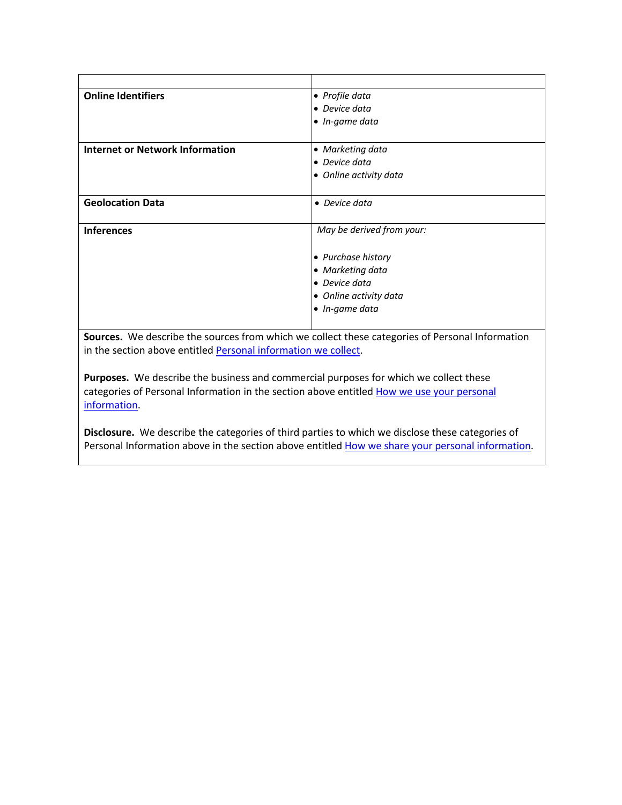| <b>Online Identifiers</b>              | • Profile data            |
|----------------------------------------|---------------------------|
|                                        | • Device data             |
|                                        | • In-game data            |
|                                        |                           |
| <b>Internet or Network Information</b> | • Marketing data          |
|                                        | • Device data             |
|                                        | • Online activity data    |
|                                        |                           |
| <b>Geolocation Data</b>                | • Device data             |
|                                        |                           |
| <b>Inferences</b>                      | May be derived from your: |
|                                        |                           |
|                                        | • Purchase history        |
|                                        | • Marketing data          |
|                                        | • Device data             |
|                                        | • Online activity data    |
|                                        | • In-game data            |
|                                        |                           |

**Sources.** We describe the sources from which we collect these categories of Personal Information in the section above entitled Personal information we collect.

**Purposes.** We describe the business and commercial purposes for which we collect these categories of Personal Information in the section above entitled How we use your personal information.

**Disclosure.** We describe the categories of third parties to which we disclose these categories of Personal Information above in the section above entitled How we share your personal information.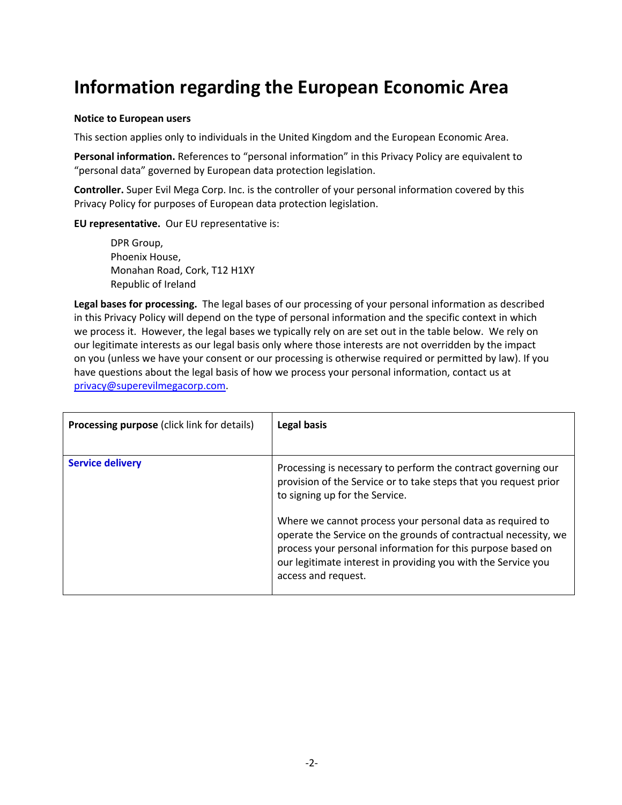### **Information regarding the European Economic Area**

#### **Notice to European users**

This section applies only to individuals in the United Kingdom and the European Economic Area.

**Personal information.** References to "personal information" in this Privacy Policy are equivalent to "personal data" governed by European data protection legislation.

**Controller.** Super Evil Mega Corp. Inc. is the controller of your personal information covered by this Privacy Policy for purposes of European data protection legislation.

**EU representative.** Our EU representative is:

DPR Group, Phoenix House, Monahan Road, Cork, T12 H1XY Republic of Ireland

**Legal bases for processing.** The legal bases of our processing of your personal information as described in this Privacy Policy will depend on the type of personal information and the specific context in which we process it. However, the legal bases we typically rely on are set out in the table below. We rely on our legitimate interests as our legal basis only where those interests are not overridden by the impact on you (unless we have your consent or our processing is otherwise required or permitted by law). If you have questions about the legal basis of how we process your personal information, contact us at privacy@superevilmegacorp.com.

| <b>Processing purpose (click link for details)</b> | Legal basis                                                                                                                                                                                                                                                                         |
|----------------------------------------------------|-------------------------------------------------------------------------------------------------------------------------------------------------------------------------------------------------------------------------------------------------------------------------------------|
|                                                    |                                                                                                                                                                                                                                                                                     |
| <b>Service delivery</b>                            | Processing is necessary to perform the contract governing our<br>provision of the Service or to take steps that you request prior<br>to signing up for the Service.                                                                                                                 |
|                                                    | Where we cannot process your personal data as required to<br>operate the Service on the grounds of contractual necessity, we<br>process your personal information for this purpose based on<br>our legitimate interest in providing you with the Service you<br>access and request. |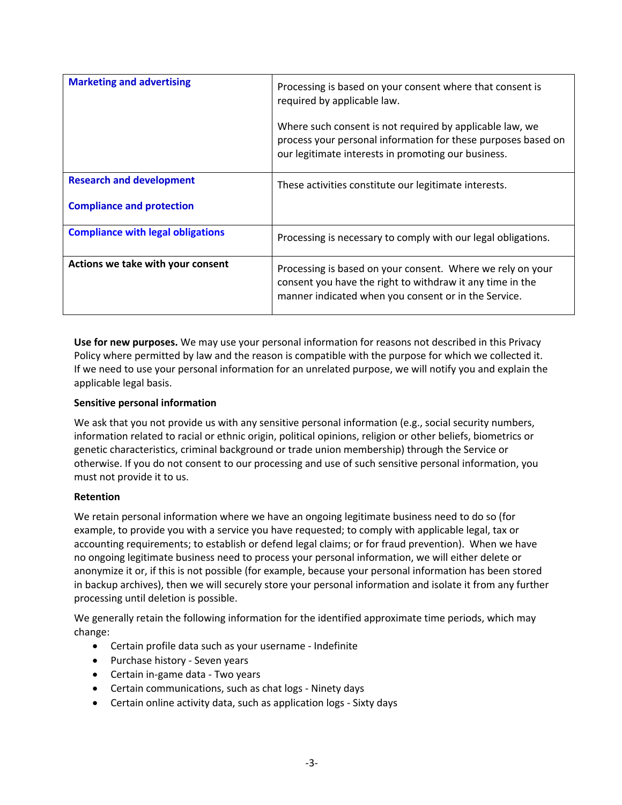| <b>Marketing and advertising</b>         | Processing is based on your consent where that consent is<br>required by applicable law.                                                                                         |  |
|------------------------------------------|----------------------------------------------------------------------------------------------------------------------------------------------------------------------------------|--|
|                                          | Where such consent is not required by applicable law, we<br>process your personal information for these purposes based on<br>our legitimate interests in promoting our business. |  |
| <b>Research and development</b>          | These activities constitute our legitimate interests.                                                                                                                            |  |
| <b>Compliance and protection</b>         |                                                                                                                                                                                  |  |
| <b>Compliance with legal obligations</b> | Processing is necessary to comply with our legal obligations.                                                                                                                    |  |
| Actions we take with your consent        | Processing is based on your consent. Where we rely on your<br>consent you have the right to withdraw it any time in the<br>manner indicated when you consent or in the Service.  |  |

**Use for new purposes.** We may use your personal information for reasons not described in this Privacy Policy where permitted by law and the reason is compatible with the purpose for which we collected it. If we need to use your personal information for an unrelated purpose, we will notify you and explain the applicable legal basis.

#### **Sensitive personal information**

We ask that you not provide us with any sensitive personal information (e.g., social security numbers, information related to racial or ethnic origin, political opinions, religion or other beliefs, biometrics or genetic characteristics, criminal background or trade union membership) through the Service or otherwise. If you do not consent to our processing and use of such sensitive personal information, you must not provide it to us.

#### **Retention**

We retain personal information where we have an ongoing legitimate business need to do so (for example, to provide you with a service you have requested; to comply with applicable legal, tax or accounting requirements; to establish or defend legal claims; or for fraud prevention). When we have no ongoing legitimate business need to process your personal information, we will either delete or anonymize it or, if this is not possible (for example, because your personal information has been stored in backup archives), then we will securely store your personal information and isolate it from any further processing until deletion is possible.

We generally retain the following information for the identified approximate time periods, which may change:

- Certain profile data such as your username Indefinite
- Purchase history Seven years
- Certain in-game data Two years
- Certain communications, such as chat logs Ninety days
- Certain online activity data, such as application logs Sixty days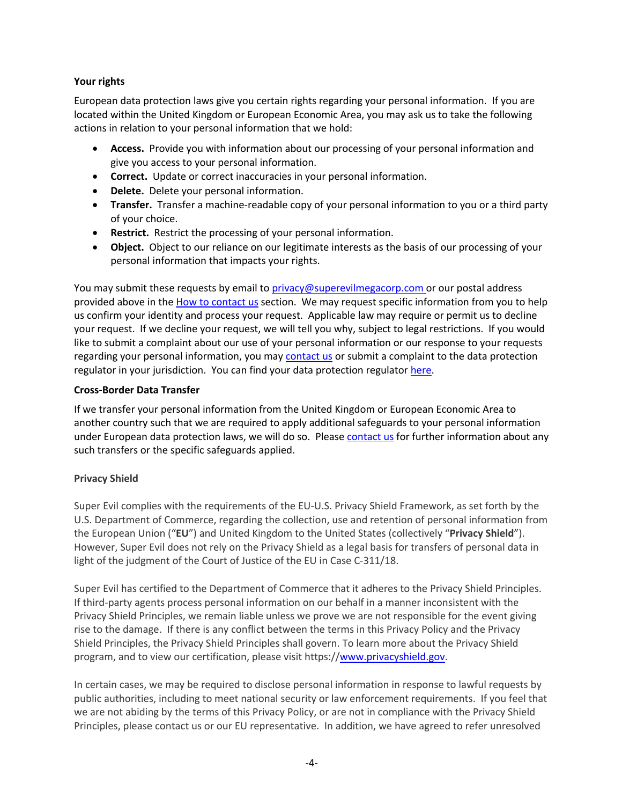#### **Your rights**

European data protection laws give you certain rights regarding your personal information. If you are located within the United Kingdom or European Economic Area, you may ask us to take the following actions in relation to your personal information that we hold:

- **Access.** Provide you with information about our processing of your personal information and give you access to your personal information.
- **Correct.** Update or correct inaccuracies in your personal information.
- **Delete.** Delete your personal information.
- **Transfer.** Transfer a machine-readable copy of your personal information to you or a third party of your choice.
- **Restrict.** Restrict the processing of your personal information.
- **Object.** Object to our reliance on our legitimate interests as the basis of our processing of your personal information that impacts your rights.

You may submit these requests by email to privacy@superevilmegacorp.com or our postal address provided above in the How to contact us section. We may request specific information from you to help us confirm your identity and process your request. Applicable law may require or permit us to decline your request. If we decline your request, we will tell you why, subject to legal restrictions. If you would like to submit a complaint about our use of your personal information or our response to your requests regarding your personal information, you may contact us or submit a complaint to the data protection regulator in your jurisdiction. You can find your data protection regulator here.

#### **Cross-Border Data Transfer**

If we transfer your personal information from the United Kingdom or European Economic Area to another country such that we are required to apply additional safeguards to your personal information under European data protection laws, we will do so. Please contact us for further information about any such transfers or the specific safeguards applied.

#### **Privacy Shield**

Super Evil complies with the requirements of the EU-U.S. Privacy Shield Framework, as set forth by the U.S. Department of Commerce, regarding the collection, use and retention of personal information from the European Union ("**EU**") and United Kingdom to the United States (collectively "**Privacy Shield**"). However, Super Evil does not rely on the Privacy Shield as a legal basis for transfers of personal data in light of the judgment of the Court of Justice of the EU in Case C-311/18.

Super Evil has certified to the Department of Commerce that it adheres to the Privacy Shield Principles. If third-party agents process personal information on our behalf in a manner inconsistent with the Privacy Shield Principles, we remain liable unless we prove we are not responsible for the event giving rise to the damage. If there is any conflict between the terms in this Privacy Policy and the Privacy Shield Principles, the Privacy Shield Principles shall govern. To learn more about the Privacy Shield program, and to view our certification, please visit https://www.privacyshield.gov.

In certain cases, we may be required to disclose personal information in response to lawful requests by public authorities, including to meet national security or law enforcement requirements. If you feel that we are not abiding by the terms of this Privacy Policy, or are not in compliance with the Privacy Shield Principles, please contact us or our EU representative. In addition, we have agreed to refer unresolved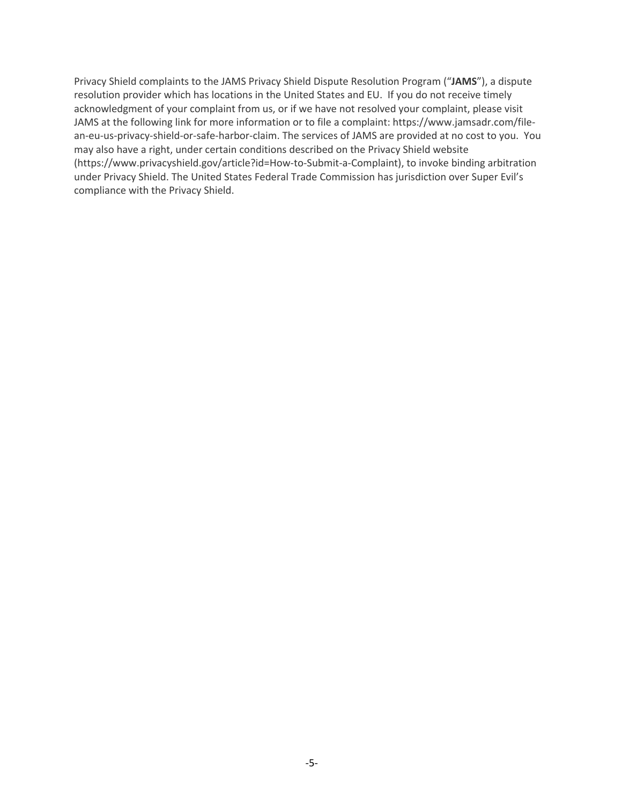Privacy Shield complaints to the JAMS Privacy Shield Dispute Resolution Program ("**JAMS**"), a dispute resolution provider which has locations in the United States and EU. If you do not receive timely acknowledgment of your complaint from us, or if we have not resolved your complaint, please visit JAMS at the following link for more information or to file a complaint: https://www.jamsadr.com/filean-eu-us-privacy-shield-or-safe-harbor-claim. The services of JAMS are provided at no cost to you. You may also have a right, under certain conditions described on the Privacy Shield website (https://www.privacyshield.gov/article?id=How-to-Submit-a-Complaint), to invoke binding arbitration under Privacy Shield. The United States Federal Trade Commission has jurisdiction over Super Evil's compliance with the Privacy Shield.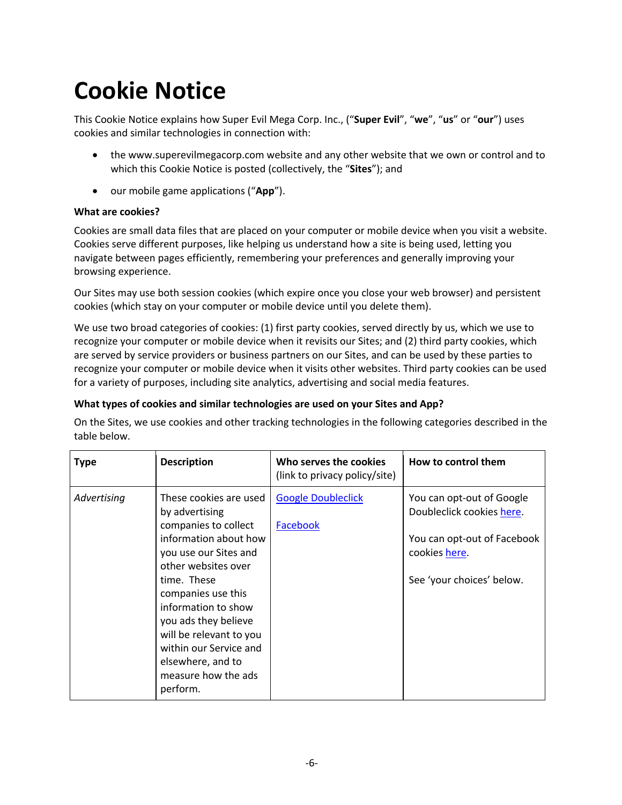# **Cookie Notice**

This Cookie Notice explains how Super Evil Mega Corp. Inc., ("**Super Evil**", "**we**", "**us**" or "**our**") uses cookies and similar technologies in connection with:

- the www.superevilmegacorp.com website and any other website that we own or control and to which this Cookie Notice is posted (collectively, the "**Sites**"); and
- our mobile game applications ("**App**").

#### **What are cookies?**

Cookies are small data files that are placed on your computer or mobile device when you visit a website. Cookies serve different purposes, like helping us understand how a site is being used, letting you navigate between pages efficiently, remembering your preferences and generally improving your browsing experience.

Our Sites may use both session cookies (which expire once you close your web browser) and persistent cookies (which stay on your computer or mobile device until you delete them).

We use two broad categories of cookies: (1) first party cookies, served directly by us, which we use to recognize your computer or mobile device when it revisits our Sites; and (2) third party cookies, which are served by service providers or business partners on our Sites, and can be used by these parties to recognize your computer or mobile device when it visits other websites. Third party cookies can be used for a variety of purposes, including site analytics, advertising and social media features.

#### **What types of cookies and similar technologies are used on your Sites and App?**

On the Sites, we use cookies and other tracking technologies in the following categories described in the table below.

| <b>Type</b> | <b>Description</b>                                                                                                                                                                                                                                                                                                                         | Who serves the cookies<br>(link to privacy policy/site) | How to control them                                                                                                                 |
|-------------|--------------------------------------------------------------------------------------------------------------------------------------------------------------------------------------------------------------------------------------------------------------------------------------------------------------------------------------------|---------------------------------------------------------|-------------------------------------------------------------------------------------------------------------------------------------|
| Advertising | These cookies are used<br>by advertising<br>companies to collect<br>information about how<br>you use our Sites and<br>other websites over<br>time. These<br>companies use this<br>information to show<br>you ads they believe<br>will be relevant to you<br>within our Service and<br>elsewhere, and to<br>measure how the ads<br>perform. | <b>Google Doubleclick</b><br>Facebook                   | You can opt-out of Google<br>Doubleclick cookies here.<br>You can opt-out of Facebook<br>cookies here.<br>See 'your choices' below. |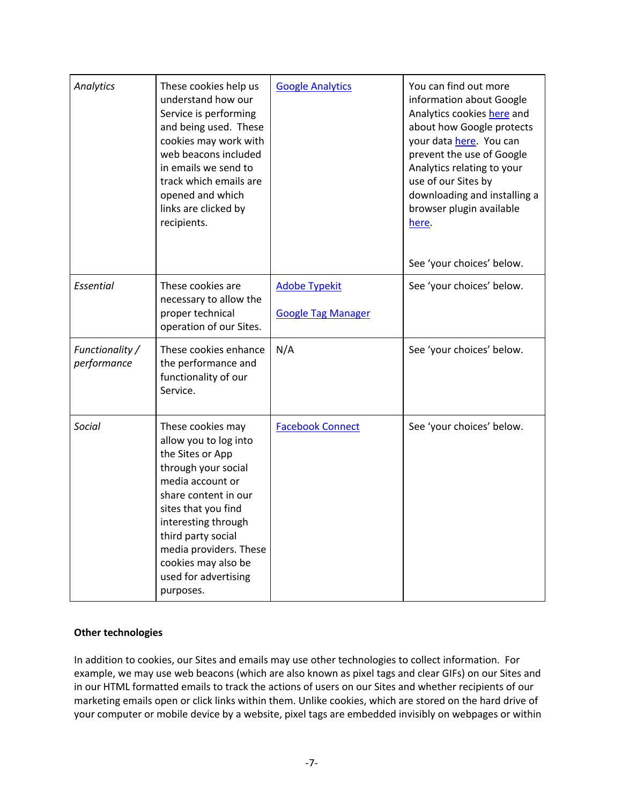| Analytics                      | These cookies help us<br>understand how our<br>Service is performing<br>and being used. These<br>cookies may work with<br>web beacons included<br>in emails we send to<br>track which emails are<br>opened and which<br>links are clicked by<br>recipients.                                 | <b>Google Analytics</b>                           | You can find out more<br>information about Google<br>Analytics cookies here and<br>about how Google protects<br>your data here. You can<br>prevent the use of Google<br>Analytics relating to your<br>use of our Sites by<br>downloading and installing a<br>browser plugin available<br>here.<br>See 'your choices' below. |
|--------------------------------|---------------------------------------------------------------------------------------------------------------------------------------------------------------------------------------------------------------------------------------------------------------------------------------------|---------------------------------------------------|-----------------------------------------------------------------------------------------------------------------------------------------------------------------------------------------------------------------------------------------------------------------------------------------------------------------------------|
| Essential                      | These cookies are<br>necessary to allow the<br>proper technical<br>operation of our Sites.                                                                                                                                                                                                  | <b>Adobe Typekit</b><br><b>Google Tag Manager</b> | See 'your choices' below.                                                                                                                                                                                                                                                                                                   |
| Functionality /<br>performance | These cookies enhance<br>the performance and<br>functionality of our<br>Service.                                                                                                                                                                                                            | N/A                                               | See 'your choices' below.                                                                                                                                                                                                                                                                                                   |
| Social                         | These cookies may<br>allow you to log into<br>the Sites or App<br>through your social<br>media account or<br>share content in our<br>sites that you find<br>interesting through<br>third party social<br>media providers. These<br>cookies may also be<br>used for advertising<br>purposes. | <b>Facebook Connect</b>                           | See 'your choices' below.                                                                                                                                                                                                                                                                                                   |

#### **Other technologies**

In addition to cookies, our Sites and emails may use other technologies to collect information. For example, we may use web beacons (which are also known as pixel tags and clear GIFs) on our Sites and in our HTML formatted emails to track the actions of users on our Sites and whether recipients of our marketing emails open or click links within them. Unlike cookies, which are stored on the hard drive of your computer or mobile device by a website, pixel tags are embedded invisibly on webpages or within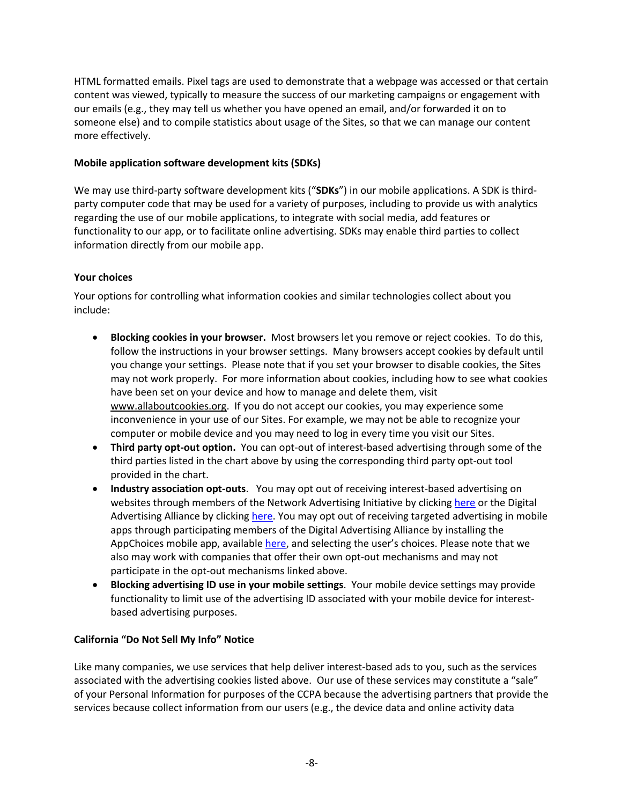HTML formatted emails. Pixel tags are used to demonstrate that a webpage was accessed or that certain content was viewed, typically to measure the success of our marketing campaigns or engagement with our emails (e.g., they may tell us whether you have opened an email, and/or forwarded it on to someone else) and to compile statistics about usage of the Sites, so that we can manage our content more effectively.

#### **Mobile application software development kits (SDKs)**

We may use third-party software development kits ("**SDKs**") in our mobile applications. A SDK is thirdparty computer code that may be used for a variety of purposes, including to provide us with analytics regarding the use of our mobile applications, to integrate with social media, add features or functionality to our app, or to facilitate online advertising. SDKs may enable third parties to collect information directly from our mobile app.

#### **Your choices**

Your options for controlling what information cookies and similar technologies collect about you include:

- **Blocking cookies in your browser.** Most browsers let you remove or reject cookies. To do this, follow the instructions in your browser settings. Many browsers accept cookies by default until you change your settings. Please note that if you set your browser to disable cookies, the Sites may not work properly. For more information about cookies, including how to see what cookies have been set on your device and how to manage and delete them, visit www.allaboutcookies.org. If you do not accept our cookies, you may experience some inconvenience in your use of our Sites. For example, we may not be able to recognize your computer or mobile device and you may need to log in every time you visit our Sites.
- **Third party opt-out option.** You can opt-out of interest-based advertising through some of the third parties listed in the chart above by using the corresponding third party opt-out tool provided in the chart.
- **Industry association opt-outs**. You may opt out of receiving interest-based advertising on websites through members of the Network Advertising Initiative by clicking here or the Digital Advertising Alliance by clicking here. You may opt out of receiving targeted advertising in mobile apps through participating members of the Digital Advertising Alliance by installing the AppChoices mobile app, available here, and selecting the user's choices. Please note that we also may work with companies that offer their own opt-out mechanisms and may not participate in the opt-out mechanisms linked above.
- **Blocking advertising ID use in your mobile settings**. Your mobile device settings may provide functionality to limit use of the advertising ID associated with your mobile device for interestbased advertising purposes.

#### **California "Do Not Sell My Info" Notice**

Like many companies, we use services that help deliver interest-based ads to you, such as the services associated with the advertising cookies listed above. Our use of these services may constitute a "sale" of your Personal Information for purposes of the CCPA because the advertising partners that provide the services because collect information from our users (e.g., the device data and online activity data